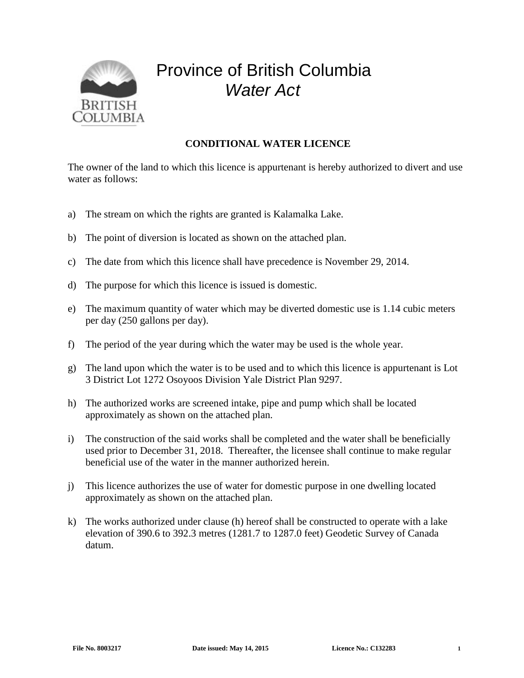

## Province of British Columbia *Water Act*

## **CONDITIONAL WATER LICENCE**

The owner of the land to which this licence is appurtenant is hereby authorized to divert and use water as follows:

- a) The stream on which the rights are granted is Kalamalka Lake.
- b) The point of diversion is located as shown on the attached plan.
- c) The date from which this licence shall have precedence is November 29, 2014.
- d) The purpose for which this licence is issued is domestic.
- e) The maximum quantity of water which may be diverted domestic use is 1.14 cubic meters per day (250 gallons per day).
- f) The period of the year during which the water may be used is the whole year.
- g) The land upon which the water is to be used and to which this licence is appurtenant is Lot 3 District Lot 1272 Osoyoos Division Yale District Plan 9297.
- h) The authorized works are screened intake, pipe and pump which shall be located approximately as shown on the attached plan.
- i) The construction of the said works shall be completed and the water shall be beneficially used prior to December 31, 2018. Thereafter, the licensee shall continue to make regular beneficial use of the water in the manner authorized herein.
- j) This licence authorizes the use of water for domestic purpose in one dwelling located approximately as shown on the attached plan.
- k) The works authorized under clause (h) hereof shall be constructed to operate with a lake elevation of 390.6 to 392.3 metres (1281.7 to 1287.0 feet) Geodetic Survey of Canada datum.